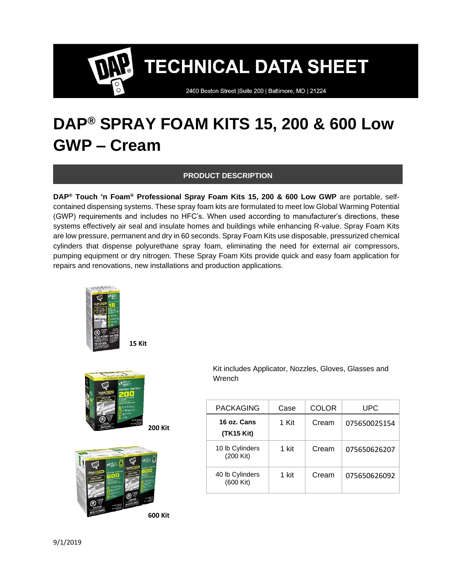2400 Boston Street | Suite 200 | Baltimore, MD | 21224

### **DAP® SPRAY FOAM KITS 15, 200 & 600 Low GWP – Cream**

#### **PRODUCT DESCRIPTION**

**DAP® Touch 'n Foam® Professional Spray Foam Kits 15, 200 & 600 Low GWP** are portable, selfcontained dispensing systems. These spray foam kits are formulated to meet low Global Warming Potential (GWP) requirements and includes no HFC's. When used according to manufacturer's directions, these systems effectively air seal and insulate homes and buildings while enhancing R-value. Spray Foam Kits are low pressure, permanent and dry in 60 seconds. Spray Foam Kits use disposable, pressurized chemical cylinders that dispense polyurethane spray foam, eliminating the need for external air compressors, pumping equipment or dry nitrogen. These Spray Foam Kits provide quick and easy foam application for repairs and renovations, new installations and production applications.





 Kit includes Applicator, Nozzles, Gloves, Glasses and Wrench

| PACKAGING                    | Case  | COLOR | UPC          |
|------------------------------|-------|-------|--------------|
| 16 oz. Cans<br>(TK15 Kit)    | 1 Kit | Cream | 075650025154 |
| 10 lb Cylinders<br>(200 Kit) | 1 kit | Cream | 075650626207 |
| 40 lb Cylinders<br>(600 Kit) | 1 kit | Cream | 075650626092 |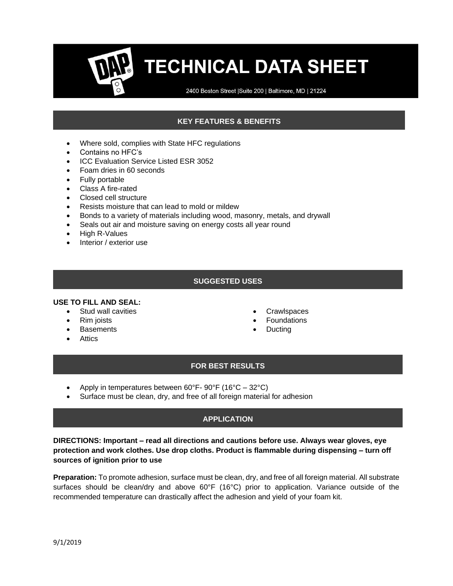2400 Boston Street | Suite 200 | Baltimore, MD | 21224

### **KEY FEATURES & BENEFITS**

- Where sold, complies with State HFC regulations
- Contains no HFC's
- ICC Evaluation Service Listed ESR 3052
- Foam dries in 60 seconds
- Fully portable
- Class A fire-rated
- Closed cell structure
- Resists moisture that can lead to mold or mildew
- Bonds to a variety of materials including wood, masonry, metals, and drywall
- Seals out air and moisture saving on energy costs all year round
- High R-Values
- Interior / exterior use

#### **SUGGESTED USES**

#### **USE TO FILL AND SEAL:**

- Stud wall cavities
- Rim joists
- Basements
- Attics
- **Crawlspaces**
- **Foundations**
- **Ducting**

#### **FOR BEST RESULTS**

- Apply in temperatures between  $60^{\circ}$ F-  $90^{\circ}$ F (16 $^{\circ}$ C 32 $^{\circ}$ C)
- Surface must be clean, dry, and free of all foreign material for adhesion

#### **APPLICATION**

**DIRECTIONS: Important – read all directions and cautions before use. Always wear gloves, eye protection and work clothes. Use drop cloths. Product is flammable during dispensing – turn off sources of ignition prior to use**

**Preparation:** To promote adhesion, surface must be clean, dry, and free of all foreign material. All substrate surfaces should be clean/dry and above 60°F (16°C) prior to application. Variance outside of the recommended temperature can drastically affect the adhesion and yield of your foam kit.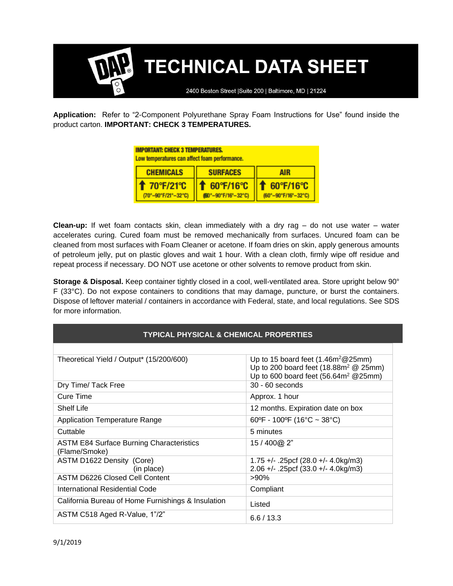2400 Boston Street | Suite 200 | Baltimore, MD | 21224

**Application:** Refer to "2-Component Polyurethane Spray Foam Instructions for Use" found inside the product carton. **IMPORTANT: CHECK 3 TEMPERATURES.**

| <b>IMPORTANT: CHECK 3 TEMPERATURES.</b><br>Low temperatures can affect foam performance. |                                  |                                           |  |  |
|------------------------------------------------------------------------------------------|----------------------------------|-------------------------------------------|--|--|
| <b>CHEMICALS</b>                                                                         | <b>SURFACES</b>                  | <b>AIR</b>                                |  |  |
| <b>1 70°F/21°C</b><br>(70°-90°F/21°-32°C)                                                | 60°F/16°C<br>(60°-90°F/16°-32°C) | <b>↑ 60°F/16°C</b><br>(60°-90°F/16°-32°C) |  |  |

**Clean-up:** If wet foam contacts skin, clean immediately with a dry rag – do not use water – water accelerates curing. Cured foam must be removed mechanically from surfaces. Uncured foam can be cleaned from most surfaces with Foam Cleaner or acetone. If foam dries on skin, apply generous amounts of petroleum jelly, put on plastic gloves and wait 1 hour. With a clean cloth, firmly wipe off residue and repeat process if necessary. DO NOT use acetone or other solvents to remove product from skin.

**Storage & Disposal.** Keep container tightly closed in a cool, well-ventilated area. Store upright below 90° F (33°C). Do not expose containers to conditions that may damage, puncture, or burst the containers. Dispose of leftover material / containers in accordance with Federal, state, and local regulations. See SDS for more information.

| <b>TYPICAL PHYSICAL &amp; CHEMICAL PROPERTIES</b>                |                                                                                                                                 |  |  |  |
|------------------------------------------------------------------|---------------------------------------------------------------------------------------------------------------------------------|--|--|--|
|                                                                  |                                                                                                                                 |  |  |  |
| Theoretical Yield / Output* (15/200/600)                         | Up to 15 board feet $(1.46m^2@25mm)$<br>Up to 200 board feet $(18.88m^2 \t{25mm})$<br>Up to 600 board feet $(56.64m^2 \ @25mm)$ |  |  |  |
| Dry Time/ Tack Free                                              | $30 - 60$ seconds                                                                                                               |  |  |  |
| Cure Time                                                        | Approx. 1 hour                                                                                                                  |  |  |  |
| <b>Shelf Life</b>                                                | 12 months. Expiration date on box                                                                                               |  |  |  |
| <b>Application Temperature Range</b>                             | 60°F - 100°F (16°C ~ 38°C)                                                                                                      |  |  |  |
| Cuttable                                                         | 5 minutes                                                                                                                       |  |  |  |
| <b>ASTM E84 Surface Burning Characteristics</b><br>(Flame/Smoke) | 15 / 400@ 2"                                                                                                                    |  |  |  |
| ASTM D1622 Density (Core)<br>(in place)                          | $1.75 +/-$ . 25pcf (28.0 +/- 4.0kg/m3)<br>$2.06 +/-$ . 25pcf (33.0 +/- 4.0kg/m3)                                                |  |  |  |
| <b>ASTM D6226 Closed Cell Content</b>                            | $>90\%$                                                                                                                         |  |  |  |
| International Residential Code                                   | Compliant                                                                                                                       |  |  |  |
| California Bureau of Home Furnishings & Insulation               | Listed                                                                                                                          |  |  |  |
| ASTM C518 Aged R-Value, 1"/2"                                    | 6.6/13.3                                                                                                                        |  |  |  |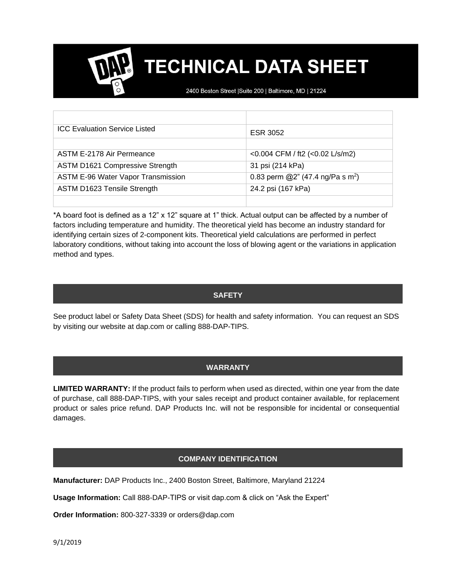2400 Boston Street | Suite 200 | Baltimore, MD | 21224

| <b>ICC Evaluation Service Listed</b>   | ESR 3052                                     |
|----------------------------------------|----------------------------------------------|
|                                        |                                              |
| ASTM E-2178 Air Permeance              | <0.004 CFM / ft2 (<0.02 L/s/m2)              |
| <b>ASTM D1621 Compressive Strength</b> | 31 psi (214 kPa)                             |
| ASTM E-96 Water Vapor Transmission     | 0.83 perm @2" (47.4 ng/Pa s m <sup>2</sup> ) |
| <b>ASTM D1623 Tensile Strength</b>     | 24.2 psi (167 kPa)                           |
|                                        |                                              |

\*A board foot is defined as a 12" x 12" square at 1" thick. Actual output can be affected by a number of factors including temperature and humidity. The theoretical yield has become an industry standard for identifying certain sizes of 2-component kits. Theoretical yield calculations are performed in perfect laboratory conditions, without taking into account the loss of blowing agent or the variations in application method and types.

#### **SAFETY**

See product label or Safety Data Sheet (SDS) for health and safety information. You can request an SDS by visiting our website at dap.com or calling 888-DAP-TIPS.

#### **WARRANTY**

**LIMITED WARRANTY:** If the product fails to perform when used as directed, within one year from the date of purchase, call 888-DAP-TIPS, with your sales receipt and product container available, for replacement product or sales price refund. DAP Products Inc. will not be responsible for incidental or consequential damages.

#### **COMPANY IDENTIFICATION**

**Manufacturer:** DAP Products Inc., 2400 Boston Street, Baltimore, Maryland 21224

**Usage Information:** Call 888-DAP-TIPS or visit dap.com & click on "Ask the Expert"

**Order Information:** 800-327-3339 or orders@dap.com